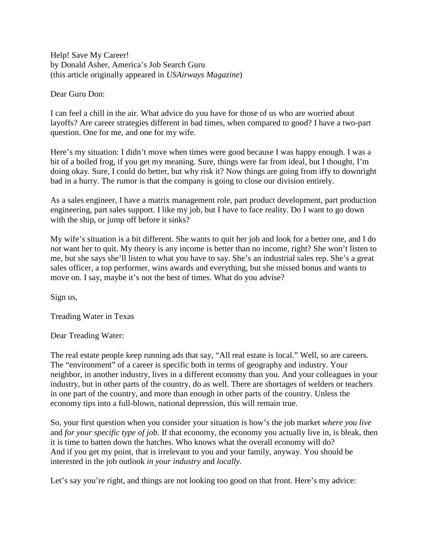Help! Save My Career! by Donald Asher, America's Job Search Guru (this article originally appeared in *USAirways Magazine*)

Dear Guru Don:

I can feel a chill in the air. What advice do you have for those of us who are worried about layoffs? Are career strategies different in bad times, when compared to good? I have a two-part question. One for me, and one for my wife.

Here's my situation: I didn't move when times were good because I was happy enough. I was a bit of a boiled frog, if you get my meaning. Sure, things were far from ideal, but I thought, I'm doing okay. Sure, I could do better, but why risk it? Now things are going from iffy to downright bad in a hurry. The rumor is that the company is going to close our division entirely.

As a sales engineer, I have a matrix management role, part product development, part production engineering, part sales support. I like my job, but I have to face reality. Do I want to go down with the ship, or jump off before it sinks?

My wife's situation is a bit different. She wants to quit her job and look for a better one, and I do *not* want her to quit. My theory is any income is better than no income, right? She won't listen to me, but she says she'll listen to what you have to say. She's an industrial sales rep. She's a great sales officer, a top performer, wins awards and everything, but she missed bonus and wants to move on. I say, maybe it's not the best of times. What do you advise?

Sign us,

Treading Water in Texas

Dear Treading Water:

The real estate people keep running ads that say, "All real estate is local." Well, so are careers. The "environment" of a career is specific both in terms of geography and industry. Your neighbor, in another industry, lives in a different economy than you. And your colleagues in your industry, but in other parts of the country, do as well. There are shortages of welders or teachers in one part of the country, and more than enough in other parts of the country. Unless the economy tips into a full-blown, national depression, this will remain true.

So, your first question when you consider your situation is how's the job market *where you live*  and *for your specific type of job.* If that economy, the economy you actually live in, is bleak, then it is time to batten down the hatches. Who knows what the overall economy will do? And if you get my point, that is irrelevant to you and your family, anyway. You should be interested in the job outlook *in your industry* and *locally.*

Let's say you're right, and things are not looking too good on that front. Here's my advice: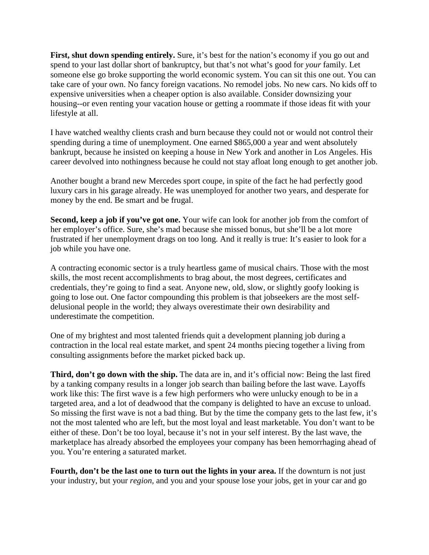First, shut down spending entirely. Sure, it's best for the nation's economy if you go out and spend to your last dollar short of bankruptcy, but that's not what's good for *your* family. Let someone else go broke supporting the world economic system. You can sit this one out. You can take care of your own. No fancy foreign vacations. No remodel jobs. No new cars. No kids off to expensive universities when a cheaper option is also available. Consider downsizing your housing--or even renting your vacation house or getting a roommate if those ideas fit with your lifestyle at all.

I have watched wealthy clients crash and burn because they could not or would not control their spending during a time of unemployment. One earned \$865,000 a year and went absolutely bankrupt, because he insisted on keeping a house in New York and another in Los Angeles. His career devolved into nothingness because he could not stay afloat long enough to get another job.

Another bought a brand new Mercedes sport coupe, in spite of the fact he had perfectly good luxury cars in his garage already. He was unemployed for another two years, and desperate for money by the end. Be smart and be frugal.

**Second, keep a job if you've got one.** Your wife can look for another job from the comfort of her employer's office. Sure, she's mad because she missed bonus, but she'll be a lot more frustrated if her unemployment drags on too long. And it really is true: It's easier to look for a job while you have one.

A contracting economic sector is a truly heartless game of musical chairs. Those with the most skills, the most recent accomplishments to brag about, the most degrees, certificates and credentials, they're going to find a seat. Anyone new, old, slow, or slightly goofy looking is going to lose out. One factor compounding this problem is that jobseekers are the most selfdelusional people in the world; they always overestimate their own desirability and underestimate the competition.

One of my brightest and most talented friends quit a development planning job during a contraction in the local real estate market, and spent 24 months piecing together a living from consulting assignments before the market picked back up.

**Third, don't go down with the ship.** The data are in, and it's official now: Being the last fired by a tanking company results in a longer job search than bailing before the last wave. Layoffs work like this: The first wave is a few high performers who were unlucky enough to be in a targeted area, and a lot of deadwood that the company is delighted to have an excuse to unload. So missing the first wave is not a bad thing. But by the time the company gets to the last few, it's not the most talented who are left, but the most loyal and least marketable. You don't want to be either of these. Don't be too loyal, because it's not in your self interest. By the last wave, the marketplace has already absorbed the employees your company has been hemorrhaging ahead of you. You're entering a saturated market.

**Fourth, don't be the last one to turn out the lights in your area.** If the downturn is not just your industry, but your *region,* and you and your spouse lose your jobs, get in your car and go